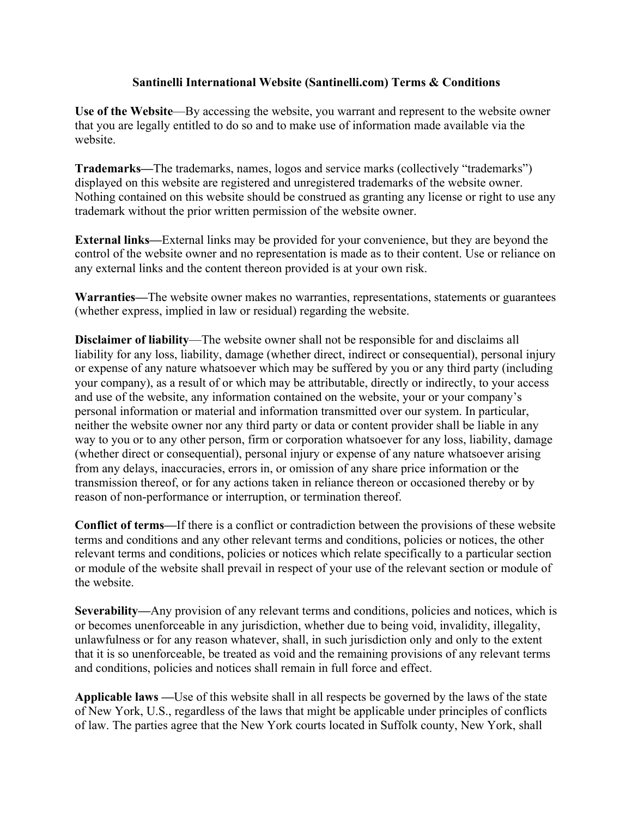## **Santinelli International Website (Santinelli.com) Terms & Conditions**

**Use of the Website**—By accessing the website, you warrant and represent to the website owner that you are legally entitled to do so and to make use of information made available via the website.

**Trademarks—**The trademarks, names, logos and service marks (collectively "trademarks") displayed on this website are registered and unregistered trademarks of the website owner. Nothing contained on this website should be construed as granting any license or right to use any trademark without the prior written permission of the website owner.

**External links—**External links may be provided for your convenience, but they are beyond the control of the website owner and no representation is made as to their content. Use or reliance on any external links and the content thereon provided is at your own risk.

**Warranties—**The website owner makes no warranties, representations, statements or guarantees (whether express, implied in law or residual) regarding the website.

**Disclaimer of liability**—The website owner shall not be responsible for and disclaims all liability for any loss, liability, damage (whether direct, indirect or consequential), personal injury or expense of any nature whatsoever which may be suffered by you or any third party (including your company), as a result of or which may be attributable, directly or indirectly, to your access and use of the website, any information contained on the website, your or your company's personal information or material and information transmitted over our system. In particular, neither the website owner nor any third party or data or content provider shall be liable in any way to you or to any other person, firm or corporation whatsoever for any loss, liability, damage (whether direct or consequential), personal injury or expense of any nature whatsoever arising from any delays, inaccuracies, errors in, or omission of any share price information or the transmission thereof, or for any actions taken in reliance thereon or occasioned thereby or by reason of non-performance or interruption, or termination thereof.

**Conflict of terms—**If there is a conflict or contradiction between the provisions of these website terms and conditions and any other relevant terms and conditions, policies or notices, the other relevant terms and conditions, policies or notices which relate specifically to a particular section or module of the website shall prevail in respect of your use of the relevant section or module of the website.

**Severability—**Any provision of any relevant terms and conditions, policies and notices, which is or becomes unenforceable in any jurisdiction, whether due to being void, invalidity, illegality, unlawfulness or for any reason whatever, shall, in such jurisdiction only and only to the extent that it is so unenforceable, be treated as void and the remaining provisions of any relevant terms and conditions, policies and notices shall remain in full force and effect.

**Applicable laws —**Use of this website shall in all respects be governed by the laws of the state of New York, U.S., regardless of the laws that might be applicable under principles of conflicts of law. The parties agree that the New York courts located in Suffolk county, New York, shall